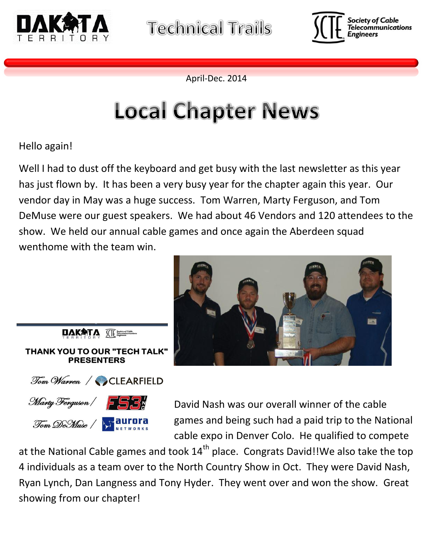



April-Dec. 2014

## **Local Chapter News**

Hello again!

Well I had to dust off the keyboard and get busy with the last newsletter as this year has just flown by. It has been a very busy year for the chapter again this year. Our vendor day in May was a huge success. Tom Warren, Marty Ferguson, and Tom DeMuse were our guest speakers. We had about 46 Vendors and 120 attendees to the show. We held our annual cable games and once again the Aberdeen squad wenthome with the team win.





David Nash was our overall winner of the cable games and being such had a paid trip to the National cable expo in Denver Colo. He qualified to compete

at the National Cable games and took  $14<sup>th</sup>$  place. Congrats David!!We also take the top 4 individuals as a team over to the North Country Show in Oct. They were David Nash, Ryan Lynch, Dan Langness and Tony Hyder. They went over and won the show. Great showing from our chapter!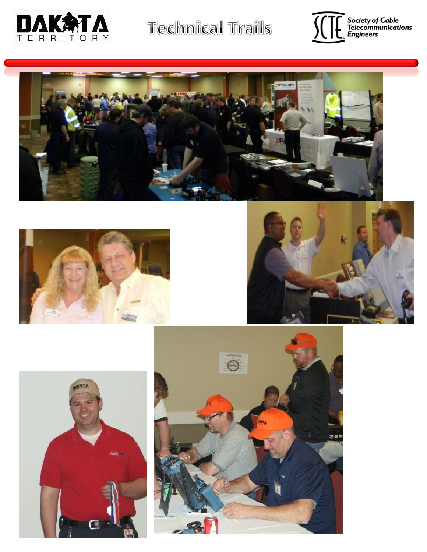











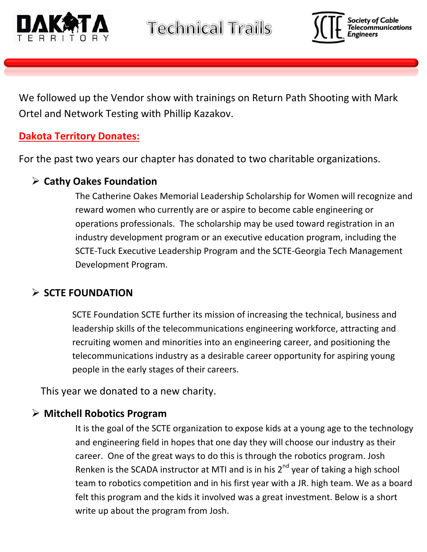



We followed up the Vendor show with trainings on Return Path Shooting with Mark Ortel and Network Testing with Phillip Kazakov.

#### **Dakota Territory Donates:**

For the past two years our chapter has donated to two charitable organizations.

#### **Cathy Oakes Foundation**

The Catherine Oakes Memorial Leadership Scholarship for Women will recognize and reward women who currently are or aspire to become cable engineering or operations professionals. The scholarship may be used toward registration in an industry development program or an executive education program, including the SCTE-Tuck Executive Leadership Program and the SCTE-Georgia Tech Management Development Program.

## $\triangleright$  SCTE FOUNDATION

SCTE Foundation SCTE further its mission of increasing the technical, business and leadership skills of the telecommunications engineering workforce, attracting and recruiting women and minorities into an engineering career, and positioning the telecommunications industry as a desirable career opportunity for aspiring young people in the early stages of their careers.

This year we donated to a new charity.

## **Mitchell Robotics Program**

It is the goal of the SCTE organization to expose kids at a young age to the technology and engineering field in hopes that one day they will choose our industry as their career. One of the great ways to do this is through the robotics program. Josh Renken is the SCADA instructor at MTI and is in his  $2<sup>nd</sup>$  year of taking a high school team to robotics competition and in his first year with a JR. high team. We as a board felt this program and the kids it involved was a great investment. Below is a short write up about the program from Josh.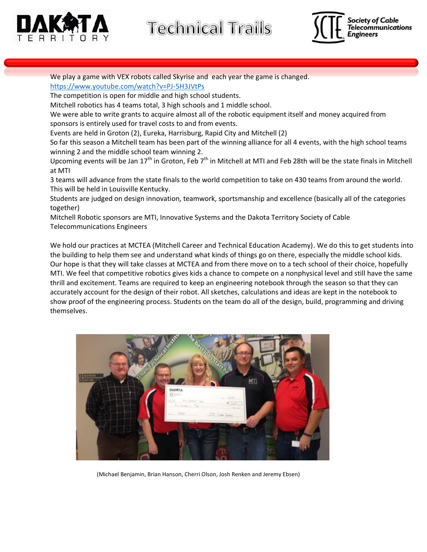



We play a game with VEX robots called Skyrise and each year the game is changed. <https://www.youtube.com/watch?v=PJ-5H3JVtPs>

The competition is open for middle and high school students.

Mitchell robotics has 4 teams total, 3 high schools and 1 middle school.

We were able to write grants to acquire almost all of the robotic equipment itself and money acquired from sponsors is entirely used for travel costs to and from events.

Events are held in Groton (2), Eureka, Harrisburg, Rapid City and Mitchell (2)

So far this season a Mitchell team has been part of the winning alliance for all 4 events, with the high school teams winning 2 and the middle school team winning 2.

Upcoming events will be Jan  $17<sup>th</sup>$  in Groton, Feb  $7<sup>th</sup>$  in Mitchell at MTI and Feb 28th will be the state finals in Mitchell at MTI

3 teams will advance from the state finals to the world competition to take on 430 teams from around the world. This will be held in Louisville Kentucky.

Students are judged on design innovation, teamwork, sportsmanship and excellence (basically all of the categories together)

Mitchell Robotic sponsors are MTI, Innovative Systems and the Dakota Territory Society of Cable Telecommunications Engineers

We hold our practices at MCTEA (Mitchell Career and Technical Education Academy). We do this to get students into the building to help them see and understand what kinds of things go on there, especially the middle school kids. Our hope is that they will take classes at MCTEA and from there move on to a tech school of their choice, hopefully MTI. We feel that competitive robotics gives kids a chance to compete on a nonphysical level and still have the same thrill and excitement. Teams are required to keep an engineering notebook through the season so that they can accurately account for the design of their robot. All sketches, calculations and ideas are kept in the notebook to show proof of the engineering process. Students on the team do all of the design, build, programming and driving themselves.



(Michael Benjamin, Brian Hanson, Cherri Olson, Josh Renken and Jeremy Ebsen)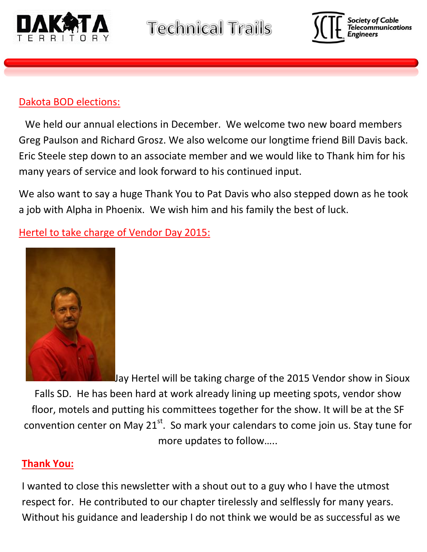



## Dakota BOD elections:

We held our annual elections in December. We welcome two new board members Greg Paulson and Richard Grosz. We also welcome our longtime friend Bill Davis back. Eric Steele step down to an associate member and we would like to Thank him for his many years of service and look forward to his continued input.

We also want to say a huge Thank You to Pat Davis who also stepped down as he took a job with Alpha in Phoenix. We wish him and his family the best of luck.

Hertel to take charge of Vendor Day 2015:



Jay Hertel will be taking charge of the 2015 Vendor show in Sioux Falls SD. He has been hard at work already lining up meeting spots, vendor show floor, motels and putting his committees together for the show. It will be at the SF convention center on May  $21^{st}$ . So mark your calendars to come join us. Stay tune for more updates to follow…..

## **Thank You:**

I wanted to close this newsletter with a shout out to a guy who I have the utmost respect for. He contributed to our chapter tirelessly and selflessly for many years. Without his guidance and leadership I do not think we would be as successful as we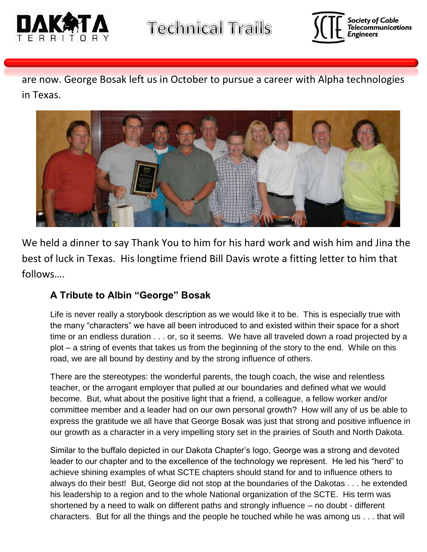



are now. George Bosak left us in October to pursue a career with Alpha technologies in Texas.



We held a dinner to say Thank You to him for his hard work and wish him and Jina the best of luck in Texas. His longtime friend Bill Davis wrote a fitting letter to him that follows….

#### **A Tribute to Albin "George" Bosak**

Life is never really a storybook description as we would like it to be. This is especially true with the many "characters" we have all been introduced to and existed within their space for a short time or an endless duration . . . or, so it seems. We have all traveled down a road projected by a plot – a string of events that takes us from the beginning of the story to the end. While on this road, we are all bound by destiny and by the strong influence of others.

There are the stereotypes: the wonderful parents, the tough coach, the wise and relentless teacher, or the arrogant employer that pulled at our boundaries and defined what we would become. But, what about the positive light that a friend, a colleague, a fellow worker and/or committee member and a leader had on our own personal growth? How will any of us be able to express the gratitude we all have that George Bosak was just that strong and positive influence in our growth as a character in a very impelling story set in the prairies of South and North Dakota.

Similar to the buffalo depicted in our Dakota Chapter's logo, George was a strong and devoted leader to our chapter and to the excellence of the technology we represent. He led his "herd" to achieve shining examples of what SCTE chapters should stand for and to influence others to always do their best! But, George did not stop at the boundaries of the Dakotas . . . he extended his leadership to a region and to the whole National organization of the SCTE. His term was shortened by a need to walk on different paths and strongly influence – no doubt - different characters. But for all the things and the people he touched while he was among us . . . that will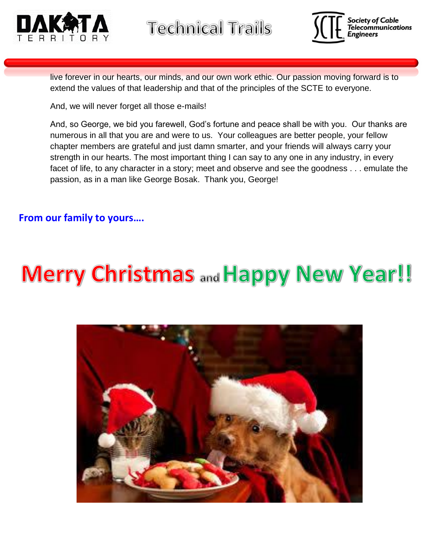



live forever in our hearts, our minds, and our own work ethic. Our passion moving forward is to extend the values of that leadership and that of the principles of the SCTE to everyone.

And, we will never forget all those e-mails!

And, so George, we bid you farewell, God's fortune and peace shall be with you. Our thanks are numerous in all that you are and were to us. Your colleagues are better people, your fellow chapter members are grateful and just damn smarter, and your friends will always carry your strength in our hearts. The most important thing I can say to any one in any industry, in every facet of life, to any character in a story; meet and observe and see the goodness . . . emulate the passion, as in a man like George Bosak. Thank you, George!

#### **From our family to yours….**

# **Merry Christmas and Happy New Year!!**